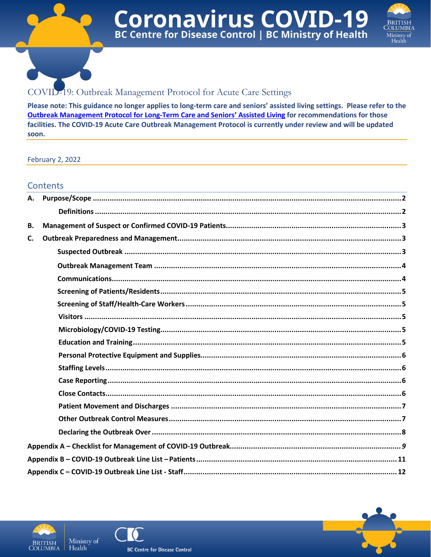



# COVID-19: Outbreak Management Protocol for Acute Care Settings

Please note: This guidance no longer applies to long-term care and seniors' assisted living settings. Please refer to the Outbreak Management Protocol for Long-Term Care and Seniors' Assisted Living for recommendations for those facilities. The COVID-19 Acute Care Outbreak Management Protocol is currently under review and will be updated soon.

**February 2, 2022** 

### **Contents**

| В. |  |
|----|--|
| C. |  |
|    |  |
|    |  |
|    |  |
|    |  |
|    |  |
|    |  |
|    |  |
|    |  |
|    |  |
|    |  |
|    |  |
|    |  |
|    |  |
|    |  |
|    |  |
|    |  |
|    |  |
|    |  |



Health



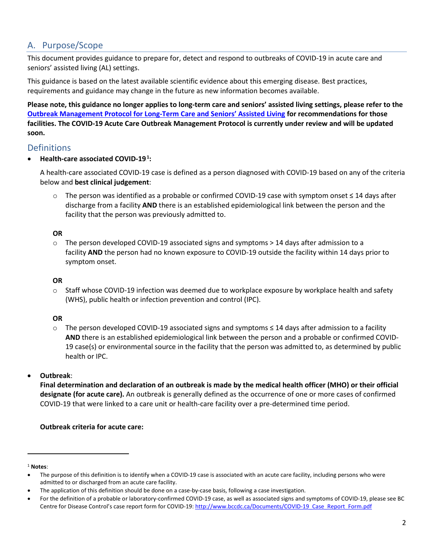## <span id="page-1-0"></span>A. Purpose/Scope

This document provides guidance to prepare for, detect and respond to outbreaks of COVID-19 in acute care and seniors' assisted living (AL) settings.

This guidance is based on the latest available scientific evidence about this emerging disease. Best practices, requirements and guidance may change in the future as new information becomes available.

**Please note, this guidance no longer applies to long-term care and seniors' assisted living settings, please refer to the [Outbreak Management Protocol for Long-Term Care and Seniors' Assisted Living](http://www.bccdc.ca/Health-Professionals-Site/Documents/COVID-19_Provincial_Outbreak_Management_Protocol_LTC.pdf) for recommendations for those facilities. The COVID-19 Acute Care Outbreak Management Protocol is currently under review and will be updated soon.**

## <span id="page-1-1"></span>Definitions

**•** Health-care associated COVID-19<sup>1</sup>:

A health-care associated COVID-19 case is defined as a person diagnosed with COVID-19 based on any of the criteria below and **best clinical judgement**:

o The person was identified as a probable or confirmed COVID-19 case with symptom onset ≤ 14 days after discharge from a facility **AND** there is an established epidemiological link between the person and the facility that the person was previously admitted to.

#### **OR**

 $\circ$  The person developed COVID-19 associated signs and symptoms  $> 14$  days after admission to a facility **AND** the person had no known exposure to COVID-19 outside the facility within 14 days prior to symptom onset.

### **OR**

 $\circ$  Staff whose COVID-19 infection was deemed due to workplace exposure by workplace health and safety (WHS), public health or infection prevention and control (IPC).

### **OR**

o The person developed COVID-19 associated signs and symptoms ≤ 14 days after admission to a facility **AND** there is an established epidemiological link between the person and a probable or confirmed COVID-19 case(s) or environmental source in the facility that the person was admitted to, as determined by public health or IPC.

### • **Outbreak**:

**Final determination and declaration of an outbreak is made by the medical health officer (MHO) or their official designate (for acute care).** An outbreak is generally defined as the occurrence of one or more cases of confirmed COVID-19 that were linked to a care unit or health-care facility over a pre-determined time period.

### **Outbreak criteria for acute care:**

#### <sup>1</sup> **Notes**:

<sup>•</sup> The purpose of this definition is to identify when a COVID-19 case is associated with an acute care facility, including persons who were admitted to or discharged from an acute care facility.

<sup>•</sup> The application of this definition should be done on a case-by-case basis, following a case investigation.

<sup>•</sup> For the definition of a probable or laboratory-confirmed COVID-19 case, as well as associated signs and symptoms of COVID-19, please see BC Centre for Disease Control's case report form for COVID-19: [http://www.bccdc.ca/Documents/COVID-19\\_Case\\_Report\\_Form.pdf](http://www.bccdc.ca/Documents/COVID-19_Case_Report_Form.pdf)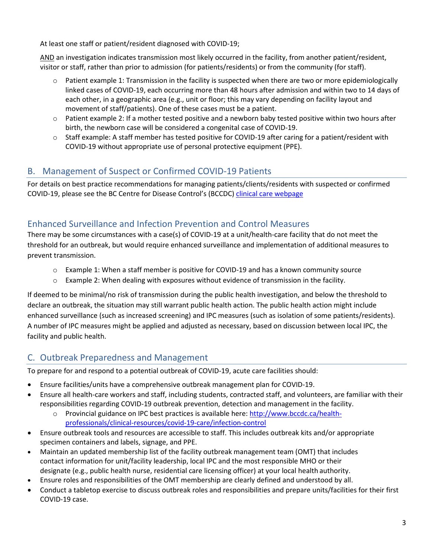At least one staff or patient/resident diagnosed with COVID-19;

AND an investigation indicates transmission most likely occurred in the facility, from another patient/resident, visitor or staff, rather than prior to admission (for patients/residents) or from the community (for staff).

- $\circ$  Patient example 1: Transmission in the facility is suspected when there are two or more epidemiologically linked cases of COVID-19, each occurring more than 48 hours after admission and within two to 14 days of each other, in a geographic area (e.g., unit or floor; this may vary depending on facility layout and movement of staff/patients). One of these cases must be a patient.
- o Patient example 2: If a mother tested positive and a newborn baby tested positive within two hours after birth, the newborn case will be considered a congenital case of COVID-19.
- o Staff example: A staff member has tested positive for COVID-19 after caring for a patient/resident with COVID-19 without appropriate use of personal protective equipment (PPE).

# <span id="page-2-0"></span>B. Management of Suspect or Confirmed COVID-19 Patients

For details on best practice recommendations for managing patients/clients/residents with suspected or confirmed COVID-19, please see the BC Centre for Disease Control's (BCCDC) [clinical care webpage](http://www.bccdc.ca/health-professionals/clinical-resources/covid-19-care/clinical-care)

# Enhanced Surveillance and Infection Prevention and Control Measures

There may be some circumstances with a case(s) of COVID-19 at a unit/health-care facility that do not meet the threshold for an outbreak, but would require enhanced surveillance and implementation of additional measures to prevent transmission.

- o Example 1: When a staff member is positive for COVID-19 and has a known community source
- $\circ$  Example 2: When dealing with exposures without evidence of transmission in the facility.

If deemed to be minimal/no risk of transmission during the public health investigation, and below the threshold to declare an outbreak, the situation may still warrant public health action. The public health action might include enhanced surveillance (such as increased screening) and IPC measures (such as isolation of some patients/residents). A number of IPC measures might be applied and adjusted as necessary, based on discussion between local IPC, the facility and public health.

# <span id="page-2-1"></span>C. Outbreak Preparedness and Management

To prepare for and respond to a potential outbreak of COVID-19, acute care facilities should:

- Ensure facilities/units have a comprehensive outbreak management plan for COVID-19.
- Ensure all health-care workers and staff, including students, contracted staff, and volunteers, are familiar with their responsibilities regarding COVID-19 outbreak prevention, detection and management in the facility.
	- Provincial guidance on IPC best practices is available here: [http://www.bccdc.ca/health](http://www.bccdc.ca/health-professionals/clinical-resources/covid-19-care/infection-control)[professionals/clinical-resources/covid-19-care/infection-control](http://www.bccdc.ca/health-professionals/clinical-resources/covid-19-care/infection-control)
- Ensure outbreak tools and resources are accessible to staff. This includes outbreak kits and/or appropriate specimen containers and labels, signage, and PPE.
- Maintain an updated membership list of the facility outbreak management team (OMT) that includes contact information for unit/facility leadership, local IPC and the most responsible MHO or their designate (e.g., public health nurse, residential care licensing officer) at your local health authority.
- Ensure roles and responsibilities of the OMT membership are clearly defined and understood by all.
- Conduct a tabletop exercise to discuss outbreak roles and responsibilities and prepare units/facilities for their first COVID-19 case.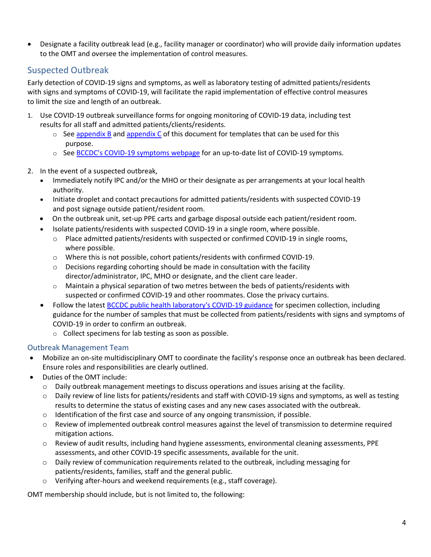• Designate a facility outbreak lead (e.g., facility manager or coordinator) who will provide daily information updates to the OMT and oversee the implementation of control measures.

## <span id="page-3-0"></span>Suspected Outbreak

Early detection of COVID-19 signs and symptoms, as well as laboratory testing of admitted patients/residents with signs and symptoms of COVID-19, will facilitate the rapid implementation of effective control measures to limit the size and length of an outbreak.

- 1. Use COVID-19 outbreak surveillance forms for ongoing monitoring of COVID-19 data, including test results for all staff and admitted patients/clients/residents.
	- $\circ$  Se[e appendix B](#page-12-0) and [appendix C](#page-13-0) of this document for templates that can be used for this purpose.
	- o See BCCDC's [COVID-19 symptoms](http://www.bccdc.ca/health-info/diseases-conditions/covid-19/about-covid-19/symptoms) webpage for an up-to-date list of COVID-19 symptoms.
- 2. In the event of a suspected outbreak,
	- Immediately notify IPC and/or the MHO or their designate as per arrangements at your local health authority.
	- Initiate droplet and contact precautions for admitted patients/residents with suspected COVID-19 and post signage outside patient/resident room.
	- On the outbreak unit, set-up PPE carts and garbage disposal outside each patient/resident room.
	- Isolate patients/residents with suspected COVID-19 in a single room, where possible.
		- o Place admitted patients/residents with suspected or confirmed COVID-19 in single rooms, where possible.
		- o Where this is not possible, cohort patients/residents with confirmed COVID-19.
		- o Decisions regarding cohorting should be made in consultation with the facility director/administrator, IPC, MHO or designate, and the client care leader.
		- $\circ$  Maintain a physical separation of two metres between the beds of patients/residents with suspected or confirmed COVID-19 and other roommates. Close the privacy curtains.
	- Follow the latest [BCCDC public health laboratory's COVID-19 guidance](http://www.bccdc.ca/health-professionals/clinical-resources/covid-19-care/lab-testing) for specimen collection, including guidance for the number of samples that must be collected from patients/residents with signs and symptoms of COVID-19 in order to confirm an outbreak.
		- o Collect specimens for lab testing as soon as possible.

### <span id="page-3-1"></span>Outbreak Management Team

- Mobilize an on-site multidisciplinary OMT to coordinate the facility's response once an outbreak has been declared. Ensure roles and responsibilities are clearly outlined.
- Duties of the OMT include:
	- o Daily outbreak management meetings to discuss operations and issues arising at the facility.
	- o Daily review of line lists for patients/residents and staff with COVID-19 signs and symptoms, as well as testing results to determine the status of existing cases and any new cases associated with the outbreak.
	- $\circ$  Identification of the first case and source of any ongoing transmission, if possible.
	- o Review of implemented outbreak control measures against the level of transmission to determine required mitigation actions.
	- o Review of audit results, including hand hygiene assessments, environmental cleaning assessments, PPE assessments, and other COVID-19 specific assessments, available for the unit.
	- $\circ$  Daily review of communication requirements related to the outbreak, including messaging for patients/residents, families, staff and the general public.
	- o Verifying after-hours and weekend requirements (e.g., staff coverage).

OMT membership should include, but is not limited to, the following: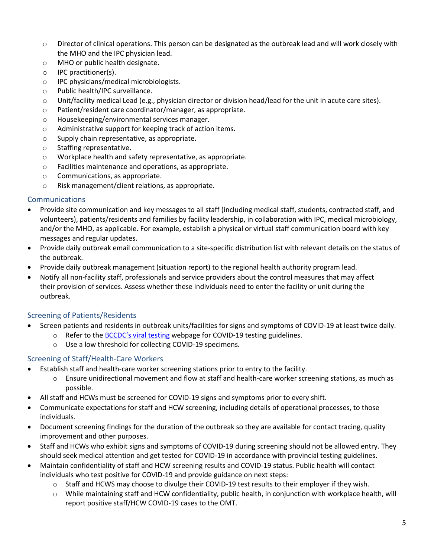- $\circ$  Director of clinical operations. This person can be designated as the outbreak lead and will work closely with the MHO and the IPC physician lead.
- o MHO or public health designate.
- o IPC practitioner(s).
- o IPC physicians/medical microbiologists.
- o Public health/IPC surveillance.
- o Unit/facility medical Lead (e.g., physician director or division head/lead for the unit in acute care sites).
- o Patient/resident care coordinator/manager, as appropriate.
- o Housekeeping/environmental services manager.
- o Administrative support for keeping track of action items.
- o Supply chain representative, as appropriate.
- o Staffing representative.
- o Workplace health and safety representative, as appropriate.
- o Facilities maintenance and operations, as appropriate.
- o Communications, as appropriate.
- o Risk management/client relations, as appropriate.

### <span id="page-4-0"></span>Communications

- Provide site communication and key messages to all staff (including medical staff, students, contracted staff, and volunteers), patients/residents and families by facility leadership, in collaboration with IPC, medical microbiology, and/or the MHO, as applicable. For example, establish a physical or virtual staff communication board with key messages and regular updates.
- Provide daily outbreak email communication to a site-specific distribution list with relevant details on the status of the outbreak.
- Provide daily outbreak management (situation report) to the regional health authority program lead.
- Notify all non-facility staff, professionals and service providers about the control measures that may affect their provision of services. Assess whether these individuals need to enter the facility or unit during the outbreak.

## <span id="page-4-1"></span>Screening of Patients/Residents

- Screen patients and residents in outbreak units/facilities for signs and symptoms of COVID-19 at least twice daily.
	- o Refer to the **BCCDC's [viral testing](http://www.bccdc.ca/health-professionals/clinical-resources/covid-19-care/covid-19-testing/viral-testing) webpage for COVID-19 testing guidelines.** 
		- o Use a low threshold for collecting COVID-19 specimens.

## <span id="page-4-2"></span>Screening of Staff/Health-Care Workers

- Establish staff and health-care worker screening stations prior to entry to the facility.
	- o Ensure unidirectional movement and flow at staff and health-care worker screening stations, as much as possible.
- All staff and HCWs must be screened for COVID-19 signs and symptoms prior to every shift.
- Communicate expectations for staff and HCW screening, including details of operational processes, to those individuals.
- Document screening findings for the duration of the outbreak so they are available for contact tracing, quality improvement and other purposes.
- Staff and HCWs who exhibit signs and symptoms of COVID-19 during screening should not be allowed entry. They should seek medical attention and get tested for COVID-19 in accordance with provincial testing guidelines.
- Maintain confidentiality of staff and HCW screening results and COVID-19 status. Public health will contact individuals who test positive for COVID-19 and provide guidance on next steps:
	- $\circ$  Staff and HCWS may choose to divulge their COVID-19 test results to their employer if they wish.
	- o While maintaining staff and HCW confidentiality, public health, in conjunction with workplace health, will report positive staff/HCW COVID-19 cases to the OMT.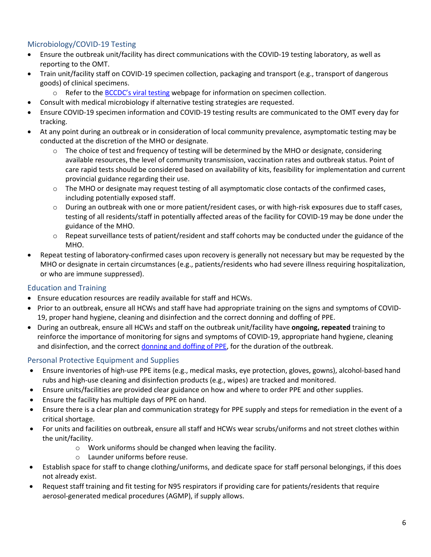## <span id="page-5-0"></span>Microbiology/COVID-19 Testing

- Ensure the outbreak unit/facility has direct communications with the COVID-19 testing laboratory, as well as reporting to the OMT.
- Train unit/facility staff on COVID-19 specimen collection, packaging and transport (e.g., transport of dangerous goods) of clinical specimens.
	- $\circ$  Refer to the BCCDC's [viral testing](http://www.bccdc.ca/health-professionals/clinical-resources/covid-19-care/covid-19-testing/viral-testing) webpage for information on specimen collection.
- Consult with medical microbiology if alternative testing strategies are requested.
- Ensure COVID-19 specimen information and COVID-19 testing results are communicated to the OMT every day for tracking.
- At any point during an outbreak or in consideration of local community prevalence, asymptomatic testing may be conducted at the discretion of the MHO or designate.
	- $\circ$  The choice of test and frequency of testing will be determined by the MHO or designate, considering available resources, the level of community transmission, vaccination rates and outbreak status. Point of care rapid tests should be considered based on availability of kits, feasibility for implementation and current provincial guidance regarding their use.
	- $\circ$  The MHO or designate may request testing of all asymptomatic close contacts of the confirmed cases, including potentially exposed staff.
	- o During an outbreak with one or more patient/resident cases, or with high-risk exposures due to staff cases, testing of all residents/staff in potentially affected areas of the facility for COVID-19 may be done under the guidance of the MHO.
	- $\circ$  Repeat surveillance tests of patient/resident and staff cohorts may be conducted under the guidance of the MHO.
- Repeat testing of laboratory-confirmed cases upon recovery is generally not necessary but may be requested by the MHO or designate in certain circumstances (e.g., patients/residents who had severe illness requiring hospitalization, or who are immune suppressed).

## <span id="page-5-1"></span>Education and Training

- Ensure education resources are readily available for staff and HCWs.
- Prior to an outbreak, ensure all HCWs and staff have had appropriate training on the signs and symptoms of COVID-19, proper hand hygiene, cleaning and disinfection and the correct donning and doffing of PPE.
- During an outbreak, ensure all HCWs and staff on the outbreak unit/facility have **ongoing, repeated** training to reinforce the importance of monitoring for signs and symptoms of COVID-19, appropriate hand hygiene, cleaning and disinfection, and the correct donning [and doffing of PPE,](http://www.bccdc.ca/health-professionals/clinical-resources/covid-19-care/infection-control/personal-protective-equipment) for the duration of the outbreak.

## <span id="page-5-2"></span>Personal Protective Equipment and Supplies

- Ensure inventories of high-use PPE items (e.g., medical masks, eye protection, gloves, gowns), alcohol-based hand rubs and high-use cleaning and disinfection products (e.g., wipes) are tracked and monitored.
- Ensure units/facilities are provided clear guidance on how and where to order PPE and other supplies.
- Ensure the facility has multiple days of PPE on hand.
- Ensure there is a clear plan and communication strategy for PPE supply and steps for remediation in the event of a critical shortage.
- For units and facilities on outbreak, ensure all staff and HCWs wear scrubs/uniforms and not street clothes within the unit/facility.
	- o Work uniforms should be changed when leaving the facility.
	- o Launder uniforms before reuse.
- Establish space for staff to change clothing/uniforms, and dedicate space for staff personal belongings, if this does not already exist.
- Request staff training and fit testing for N95 respirators if providing care for patients/residents that require aerosol-generated medical procedures (AGMP), if supply allows.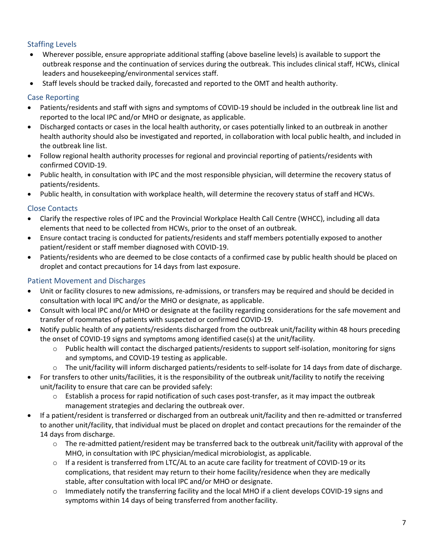## <span id="page-6-0"></span>Staffing Levels

- Wherever possible, ensure appropriate additional staffing (above baseline levels) is available to support the outbreak response and the continuation of services during the outbreak. This includes clinical staff, HCWs, clinical leaders and housekeeping/environmental services staff.
- Staff levels should be tracked daily, forecasted and reported to the OMT and health authority.

## <span id="page-6-1"></span>Case Reporting

- Patients/residents and staff with signs and symptoms of COVID-19 should be included in the outbreak line list and reported to the local IPC and/or MHO or designate, as applicable.
- Discharged contacts or cases in the local health authority, or cases potentially linked to an outbreak in another health authority should also be investigated and reported, in collaboration with local public health, and included in the outbreak line list.
- Follow regional health authority processes for regional and provincial reporting of patients/residents with confirmed COVID-19.
- Public health, in consultation with IPC and the most responsible physician, will determine the recovery status of patients/residents.
- Public health, in consultation with workplace health, will determine the recovery status of staff and HCWs.

## <span id="page-6-2"></span>Close Contacts

- Clarify the respective roles of IPC and the Provincial Workplace Health Call Centre (WHCC), including all data elements that need to be collected from HCWs, prior to the onset of an outbreak.
- Ensure contact tracing is conducted for patients/residents and staff members potentially exposed to another patient/resident or staff member diagnosed with COVID-19.
- Patients/residents who are deemed to be close contacts of a confirmed case by public health should be placed on droplet and contact precautions for 14 days from last exposure.

## <span id="page-6-3"></span>Patient Movement and Discharges

- Unit or facility closures to new admissions, re-admissions, or transfers may be required and should be decided in consultation with local IPC and/or the MHO or designate, as applicable.
- Consult with local IPC and/or MHO or designate at the facility regarding considerations for the safe movement and transfer of roommates of patients with suspected or confirmed COVID-19.
- Notify public health of any patients/residents discharged from the outbreak unit/facility within 48 hours preceding the onset of COVID-19 signs and symptoms among identified case(s) at the unit/facility.
	- Public health will contact the discharged patients/residents to support self-isolation, monitoring for signs and symptoms, and COVID-19 testing as applicable.
	- $\circ$  The unit/facility will inform discharged patients/residents to self-isolate for 14 days from date of discharge.
- For transfers to other units/facilities, it is the responsibility of the outbreak unit/facility to notify the receiving unit/facility to ensure that care can be provided safely:
	- o Establish a process for rapid notification of such cases post-transfer, as it may impact the outbreak management strategies and declaring the outbreak over.
- If a patient/resident is transferred or discharged from an outbreak unit/facility and then re-admitted or transferred to another unit/facility, that individual must be placed on droplet and contact precautions for the remainder of the 14 days from discharge.
	- $\circ$  The re-admitted patient/resident may be transferred back to the outbreak unit/facility with approval of the MHO, in consultation with IPC physician/medical microbiologist, as applicable.
	- $\circ$  If a resident is transferred from LTC/AL to an acute care facility for treatment of COVID-19 or its complications, that resident may return to their home facility/residence when they are medically stable, after consultation with local IPC and/or MHO or designate.
	- o Immediately notify the transferring facility and the local MHO if a client develops COVID-19 signs and symptoms within 14 days of being transferred from another facility.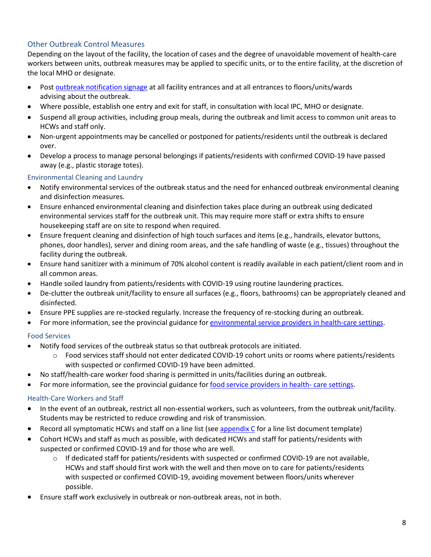## <span id="page-7-0"></span>Other Outbreak Control Measures

Depending on the layout of the facility, the location of cases and the degree of unavoidable movement of health-care workers between units, outbreak measures may be applied to specific units, or to the entire facility, at the discretion of the local MHO or designate.

- Post [outbreak notification signage](http://www.bccdc.ca/Health-Professionals-Site/Documents/COVID19_OutbreakInFacility_poster.pdf) at all facility entrances and at all entrances to floors/units/wards advising about the outbreak.
- Where possible, establish one entry and exit for staff, in consultation with local IPC, MHO or designate.
- Suspend all group activities, including group meals, during the outbreak and limit access to common unit areas to HCWs and staff only.
- Non-urgent appointments may be cancelled or postponed for patients/residents until the outbreak is declared over.
- Develop a process to manage personal belongings if patients/residents with confirmed COVID-19 have passed away (e.g., plastic storage totes).

### Environmental Cleaning and Laundry

- Notify environmental services of the outbreak status and the need for enhanced outbreak environmental cleaning and disinfection measures.
- Ensure enhanced environmental cleaning and disinfection takes place during an outbreak using dedicated environmental services staff for the outbreak unit. This may require more staff or extra shifts to ensure housekeeping staff are on site to respond when required.
- Ensure frequent cleaning and disinfection of high touch surfaces and items (e.g., handrails, elevator buttons, phones, door handles), server and dining room areas, and the safe handling of waste (e.g., tissues) throughout the facility during the outbreak.
- Ensure hand sanitizer with a minimum of 70% alcohol content is readily available in each patient/client room and in all common areas.
- Handle soiled laundry from patients/residents with COVID-19 using routine laundering practices.
- De-clutter the outbreak unit/facility to ensure all surfaces (e.g., floors, bathrooms) can be appropriately cleaned and disinfected.
- Ensure PPE supplies are re-stocked regularly. Increase the frequency of re-stocking during an outbreak.
- For more information, see the provincial guidance fo[r environmental service providers in health-care settings.](http://www.bccdc.ca/Health-Info-Site/Documents/Environmental_Service_Providers_Health_Care.pdf)

### Food Services

- Notify food services of the outbreak status so that outbreak protocols are initiated.
	- o Food services staff should not enter dedicated COVID-19 cohort units or rooms where patients/residents with suspected or confirmed COVID-19 have been admitted.
- No staff/health-care worker food sharing is permitted in units/facilities during an outbreak.
- For more information, see the provincial guidance fo[r food service providers in health-](http://www.bccdc.ca/Health-Professionals-Site/Documents/Food_Service_Providers_Health_Care.pdf) care settings.

### Health-Care Workers and Staff

- In the event of an outbreak, restrict all non-essential workers, such as volunteers, from the outbreak unit/facility. Students may be restricted to reduce crowding and risk of transmission.
- Record all symptomatic HCWs and staff on a line list (see [appendix C](#page-13-0) for a line list document template)
- Cohort HCWs and staff as much as possible, with dedicated HCWs and staff for patients/residents with suspected or confirmed COVID-19 and for those who are well.
	- $\circ$  If dedicated staff for patients/residents with suspected or confirmed COVID-19 are not available, HCWs and staff should first work with the well and then move on to care for patients/residents with suspected or confirmed COVID-19, avoiding movement between floors/units wherever possible.
- Ensure staff work exclusively in outbreak or non-outbreak areas, not in both.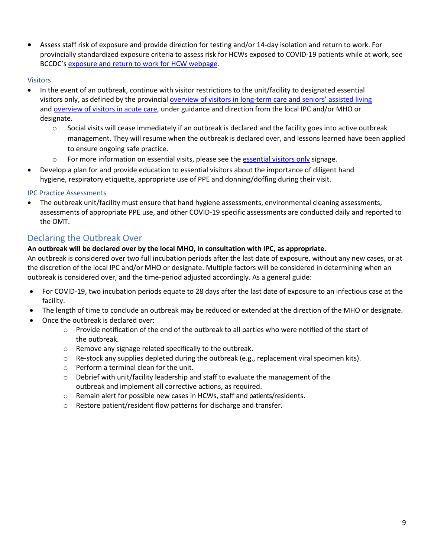• Assess staff risk of exposure and provide direction for testing and/or 14-day isolation and return to work. For provincially standardized exposure criteria to assess risk for HCWs exposed to COVID-19 patients while at work, see BCCDC's [exposure and return to work for HCW webpage](http://www.bccdc.ca/health-professionals/clinical-resources/covid-19-care/testing-and-case-management-for-healthcare-workers)*.*

#### Visitors

- In the event of an outbreak, continue with visitor restrictions to the unit/facility to designated essential visitors only, as defined by the provincial [overview of visitors in long-term care and seniors' assisted living](http://www.bccdc.ca/Health-Info-Site/Documents/Visitors_Long-Term_Care_Seniors_Assisted_Living.pdf) and [overview of visitors in acute care,](http://www.bccdc.ca/Health-Info-Site/Documents/COVID19-NoVisitorsPoster.pdf) under guidance and direction from the local IPC and/or MHO or designate.
	- o Social visits will cease immediately if an outbreak is declared and the facility goes into active outbreak management. They will resume when the outbreak is declared over, and lessons learned have been applied to ensure ongoing safe practice.
	- o For more information on essential visits, please see the [essential visitors only](http://www.bccdc.ca/Health-Info-Site/Documents/COVID19-NoVisitorsPoster.pdf) signage.
- Develop a plan for and provide education to essential visitors about the importance of diligent hand hygiene, respiratory etiquette, appropriate use of PPE and donning/doffing during their visit.

#### IPC Practice Assessments

• The outbreak unit/facility must ensure that hand hygiene assessments, environmental cleaning assessments, assessments of appropriate PPE use, and other COVID-19 specific assessments are conducted daily and reported to the OMT.

## <span id="page-8-0"></span>Declaring the Outbreak Over

#### **An outbreak will be declared over by the local MHO, in consultation with IPC, as appropriate.**

An outbreak is considered over two full incubation periods after the last date of exposure, without any new cases, or at the discretion of the local IPC and/or MHO or designate. Multiple factors will be considered in determining when an outbreak is considered over, and the time-period adjusted accordingly. As a general guide:

- For COVID-19, two incubation periods equate to 28 days after the last date of exposure to an infectious case at the facility.
- The length of time to conclude an outbreak may be reduced or extended at the direction of the MHO or designate.
- Once the outbreak is declared over:
	- $\circ$  Provide notification of the end of the outbreak to all parties who were notified of the start of the outbreak.
	- o Remove any signage related specifically to the outbreak.
	- $\circ$  Re-stock any supplies depleted during the outbreak (e.g., replacement viral specimen kits).
	- o Perform a terminal clean for the unit.
	- $\circ$  Debrief with unit/facility leadership and staff to evaluate the management of the outbreak and implement all corrective actions, as required.
	- o Remain alert for possible new cases in HCWs, staff and patients/residents.
	- o Restore patient/resident flow patterns for discharge and transfer.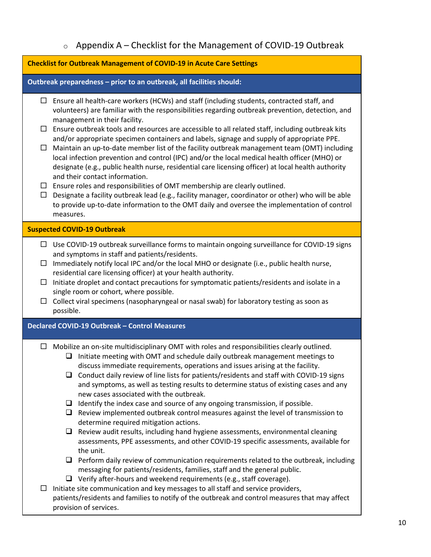## <span id="page-9-0"></span>**Checklist for Outbreak Management of COVID-19 in Acute Care Settings Outbreak preparedness – prior to an outbreak, all facilities should:**  $\Box$  Ensure all health-care workers (HCWs) and staff (including students, contracted staff, and volunteers) are familiar with the responsibilities regarding outbreak prevention, detection, and management in their facility.  $\Box$  Ensure outbreak tools and resources are accessible to all related staff, including outbreak kits and/or appropriate specimen containers and labels, signage and supply of appropriate PPE.  $\Box$  Maintain an up-to-date member list of the facility outbreak management team (OMT) including local infection prevention and control (IPC) and/or the local medical health officer (MHO) or designate (e.g., public health nurse, residential care licensing officer) at local health authority and their contact information.  $\Box$  Ensure roles and responsibilities of OMT membership are clearly outlined.  $\Box$  Designate a facility outbreak lead (e.g., facility manager, coordinator or other) who will be able to provide up-to-date information to the OMT daily and oversee the implementation of control measures. **Suspected COVID-19 Outbreak**  $\Box$  Use COVID-19 outbreak surveillance forms to maintain ongoing surveillance for COVID-19 signs and symptoms in staff and patients/residents.  $\Box$  Immediately notify local IPC and/or the local MHO or designate (i.e., public health nurse, residential care licensing officer) at your health authority.  $\Box$  Initiate droplet and contact precautions for symptomatic patients/residents and isolate in a single room or cohort, where possible.  $\Box$  Collect viral specimens (nasopharyngeal or nasal swab) for laboratory testing as soon as possible. **Declared COVID-19 Outbreak – Control Measures**   $\Box$  Mobilize an on-site multidisciplinary OMT with roles and responsibilities clearly outlined.  $\Box$  Initiate meeting with OMT and schedule daily outbreak management meetings to discuss immediate requirements, operations and issues arising at the facility.  $\Box$  Conduct daily review of line lists for patients/residents and staff with COVID-19 signs and symptoms, as well as testing results to determine status of existing cases and any new cases associated with the outbreak.  $\Box$  Identify the index case and source of any ongoing transmission, if possible.  $\Box$  Review implemented outbreak control measures against the level of transmission to determine required mitigation actions.  $\Box$  Review audit results, including hand hygiene assessments, environmental cleaning assessments, PPE assessments, and other COVID-19 specific assessments, available for the unit.  $\Box$  Perform daily review of communication requirements related to the outbreak, including messaging for patients/residents, families, staff and the general public.  $\Box$  Verify after-hours and weekend requirements (e.g., staff coverage).  $\Box$  Initiate site communication and key messages to all staff and service providers, patients/residents and families to notify of the outbreak and control measures that may affect provision of services.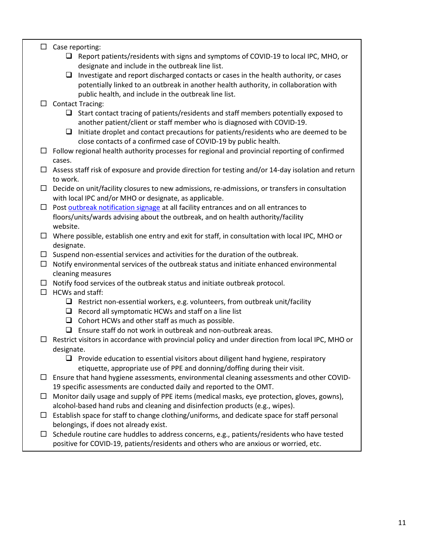### $\Box$  Case reporting:

- $\Box$  Report patients/residents with signs and symptoms of COVID-19 to local IPC, MHO, or designate and include in the outbreak line list.
- $\Box$  Investigate and report discharged contacts or cases in the health authority, or cases potentially linked to an outbreak in another health authority, in collaboration with public health, and include in the outbreak line list.
- $\Box$  Contact Tracing:
	- $\Box$  Start contact tracing of patients/residents and staff members potentially exposed to another patient/client or staff member who is diagnosed with COVID-19.
	- $\Box$  Initiate droplet and contact precautions for patients/residents who are deemed to be close contacts of a confirmed case of COVID-19 by public health.
- $\Box$  Follow regional health authority processes for regional and provincial reporting of confirmed cases.
- $\Box$  Assess staff risk of exposure and provide direction for testing and/or 14-day isolation and return to work.
- $\Box$  Decide on unit/facility closures to new admissions, re-admissions, or transfers in consultation with local IPC and/or MHO or designate, as applicable.
- $\Box$  Post [outbreak notification signage](http://www.bccdc.ca/Health-Professionals-Site/Documents/COVID19_OutbreakInFacility_poster.pdf) at all facility entrances and on all entrances to floors/units/wards advising about the outbreak, and on health authority/facility website.
- $\Box$  Where possible, establish one entry and exit for staff, in consultation with local IPC, MHO or designate.
- $\square$  Suspend non-essential services and activities for the duration of the outbreak.
- $\Box$  Notify environmental services of the outbreak status and initiate enhanced environmental cleaning measures
- $\Box$  Notify food services of the outbreak status and initiate outbreak protocol.
- $\Box$  HCWs and staff:
	- $\Box$  Restrict non-essential workers, e.g. volunteers, from outbreak unit/facility
	- $\Box$  Record all symptomatic HCWs and staff on a line list
	- $\Box$  Cohort HCWs and other staff as much as possible.
	- $\Box$  Ensure staff do not work in outbreak and non-outbreak areas.
- $\Box$  Restrict visitors in accordance with provincial policy and under direction from local IPC, MHO or designate.
	- $\Box$  Provide education to essential visitors about diligent hand hygiene, respiratory etiquette, appropriate use of PPE and donning/doffing during their visit.
- $\Box$  Ensure that hand hygiene assessments, environmental cleaning assessments and other COVID-19 specific assessments are conducted daily and reported to the OMT.
- $\Box$  Monitor daily usage and supply of PPE items (medical masks, eye protection, gloves, gowns), alcohol-based hand rubs and cleaning and disinfection products (e.g., wipes).
- $\Box$  Establish space for staff to change clothing/uniforms, and dedicate space for staff personal belongings, if does not already exist.
- $\Box$  Schedule routine care huddles to address concerns, e.g., patients/residents who have tested positive for COVID-19, patients/residents and others who are anxious or worried, etc.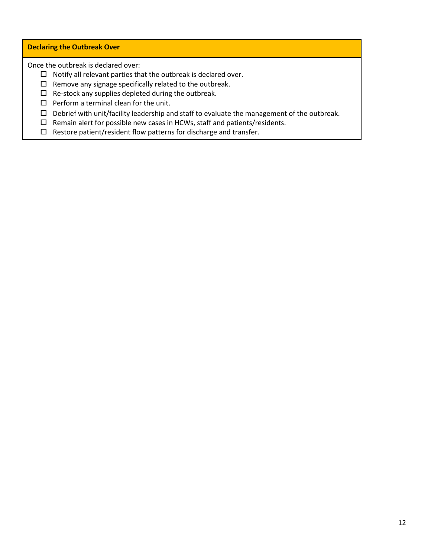#### **Declaring the Outbreak Over**

Once the outbreak is declared over:

- $\Box$  Notify all relevant parties that the outbreak is declared over.
- $\square$  Remove any signage specifically related to the outbreak.
- $\Box$  Re-stock any supplies depleted during the outbreak.
- $\square$  Perform a terminal clean for the unit.
- $\square$  Debrief with unit/facility leadership and staff to evaluate the management of the outbreak.
- $\square$  Remain alert for possible new cases in HCWs, staff and patients/residents.
- $\square$  Restore patient/resident flow patterns for discharge and transfer.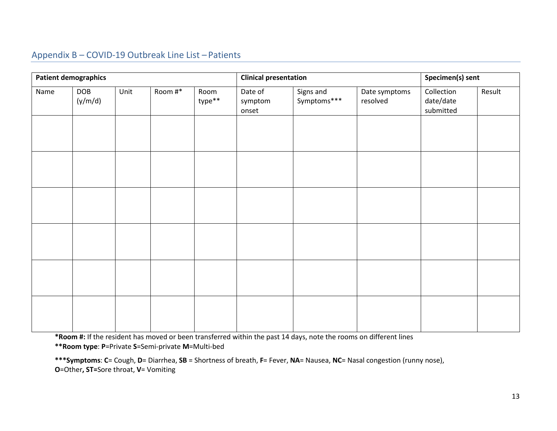## Appendix B – COVID-19 Outbreak Line List – Patients

<span id="page-12-0"></span>

| <b>Patient demographics</b> |                |      |         |                | <b>Clinical presentation</b> |                          |                           | Specimen(s) sent                     |        |
|-----------------------------|----------------|------|---------|----------------|------------------------------|--------------------------|---------------------------|--------------------------------------|--------|
| Name                        | DOB<br>(y/m/d) | Unit | Room #* | Room<br>type** | Date of<br>symptom<br>onset  | Signs and<br>Symptoms*** | Date symptoms<br>resolved | Collection<br>date/date<br>submitted | Result |
|                             |                |      |         |                |                              |                          |                           |                                      |        |
|                             |                |      |         |                |                              |                          |                           |                                      |        |
|                             |                |      |         |                |                              |                          |                           |                                      |        |
|                             |                |      |         |                |                              |                          |                           |                                      |        |
|                             |                |      |         |                |                              |                          |                           |                                      |        |
|                             |                |      |         |                |                              |                          |                           |                                      |        |
|                             |                |      |         |                |                              |                          |                           |                                      |        |
|                             |                |      |         |                |                              |                          |                           |                                      |        |
|                             |                |      |         |                |                              |                          |                           |                                      |        |

**\*Room #:** If the resident has moved or been transferred within the past 14 days, note the rooms on different lines **\*\*Room type**: **P**=Private **S**=Semi-private **M**=Multi-bed

**\*\*\*Symptoms**: **C**= Cough, **D**= Diarrhea, **SB** = Shortness of breath, **F**= Fever, **NA**= Nausea, **NC**= Nasal congestion (runny nose), **O**=Other**, ST=**Sore throat, **V**= Vomiting